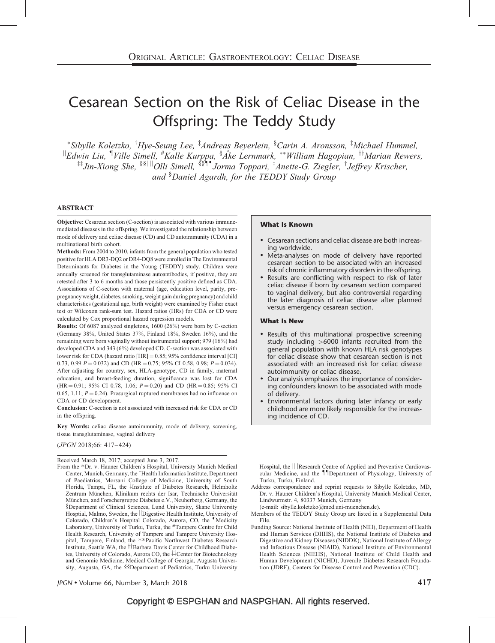# Cesarean Section on the Risk of Celiac Disease in the Offspring: The Teddy Study

\*Sibylle Koletzko, <sup>†</sup>Hye-Seung Lee, <sup>‡</sup>Andreas Beyerlein, <sup>§</sup>Carin A. Aronsson, <sup>‡</sup>Michael Hummel,  $\mathbb{I}_{E}$ dwin Liu,  $\mathbb{I}_{V}$ Ville Simell,  $\mathbb{I}_{K}$ Kalle Kurppa,  $\mathbb{I}_{A}$ ke Lernmark,  $\mathbb{I}_{W}$  William Hagopian,  $\mathbb{I}_{M}$  Marian Rewers, <sup>‡‡</sup>Jin-Xiong She, <sup>§§||||</sup>Olli Simell, <sup>§§¶¶</sup>Jorma Toppari, <sup>‡</sup>Anette-G. Ziegler, <sup>†</sup>Jeffrey Krischer, and § Daniel Agardh, for the TEDDY Study Group

#### ABSTRACT

Objective: Cesarean section (C-section) is associated with various immunemediated diseases in the offspring. We investigated the relationship between mode of delivery and celiac disease (CD) and CD autoimmunity (CDA) in a multinational birth cohort.

Methods: From 2004 to 2010, infants from the general population who tested positive for HLA DR3-DQ2 or DR4-DQ8 were enrolled in The Environmental Determinants for Diabetes in the Young (TEDDY) study. Children were annually screened for transglutaminase autoantibodies, if positive, they are retested after 3 to 6 months and those persistently positive defined as CDA. Associations of C-section with maternal (age, education level, parity, prepregnancy weight, diabetes, smoking, weight gain during pregnancy) and child characteristics (gestational age, birth weight) were examined by Fisher exact test or Wilcoxon rank-sum test. Hazard ratios (HRs) for CDA or CD were calculated by Cox proportional hazard regression models.

Results: Of 6087 analyzed singletons, 1600 (26%) were born by C-section (Germany 38%, United States 37%, Finland 18%, Sweden 16%), and the remaining were born vaginally without instrumental support; 979 (16%) had developed CDA and 343 (6%) developed CD. C-section was associated with lower risk for CDA (hazard ratio  $[HR] = 0.85$ ; 95% confidence interval  $[CI]$ 0.73, 0.99  $P = 0.032$ ) and CD (HR = 0.75; 95% CI 0.58, 0.98;  $P = 0.034$ ). After adjusting for country, sex, HLA-genotype, CD in family, maternal education, and breast-feeding duration, significance was lost for CDA  $(HR = 0.91; 95\% \text{ CI } 0.78, 1.06; P = 0.20)$  and CD  $(HR = 0.85; 95\% \text{ CI } 0.78$ 0.65, 1.11;  $P = 0.24$ ). Presurgical ruptured membranes had no influence on CDA or CD development.

Conclusion: C-section is not associated with increased risk for CDA or CD in the offspring.

Key Words: celiac disease autoimmunity, mode of delivery, screening, tissue transglutaminase, vaginal delivery

(JPGN 2018;66: 417–424)

Received March 18, 2017; accepted June 3, 2017.

From the -Dr. v. Hauner Children's Hospital, University Munich Medical Center, Munich, Germany, the †Health Informatics Institute, Department of Paediatrics, Morsani College of Medicine, University of South Florida, Tampa, FL, the <sup>‡</sup>Institute of Diabetes Research, Helmholtz Zentrum München, Klinikum rechts der Isar, Technische Universität München, and Forschergruppe Diabetes e.V., Neuherberg, Germany, the §Department of Clinical Sciences, Lund University, Skane University Hosptial, Malmo, Sweden, the *Digestive Health Institute*, University of Colorado, Children's Hospital Colorado, Aurora, CO, the IMedicity Laboratory, University of Turku, Turku, the #Tampere Centre for Child Health Research, University of Tampere and Tampere University Hospital, Tampere, Finland, the \*\*Pacific Northwest Diabetes Research Institute, Seattle WA, the *TBarbara Davis Center for Childhood Diabe*tes, University of Colorado, Aurora CO, the ##Center for Biotechnology and Genomic Medicine, Medical College of Georgia, Augusta University, Augusta, GA, the §§Department of Pediatrics, Turku University

#### What Is Known

- Cesarean sections and celiac disease are both increasing worldwide.
- Meta-analyses on mode of delivery have reported cesarean section to be associated with an increased risk of chronic inflammatory disorders in the offspring.
- Results are conflicting with respect to risk of later celiac disease if born by cesarean section compared to vaginal delivery, but also controversial regarding the later diagnosis of celiac disease after planned versus emergency cesarean section.

#### What Is New

- Results of this multinational prospective screening study including >6000 infants recruited from the general population with known HLA risk genotypes for celiac disease show that cesarean section is not associated with an increased risk for celiac disease autoimmunity or celiac disease.
- Our analysis emphasizes the importance of considering confounders known to be associated with mode of delivery.
- Environmental factors during later infancy or early childhood are more likely responsible for the increasing incidence of CD.

Hospital, the  $\|$ ||Research Centre of Applied and Preventive Cardiovascular Medicine, and the *IIDepartment* of Physiology, University of Turku, Turku, Finland.

Address correspondence and reprint requests to Sibylle Koletzko, MD, Dr. v. Hauner Children's Hospital, University Munich Medical Center, Lindwurmstr. 4, 80337 Munich, Germany

(e-mail: [sibylle.koletzko@med.uni-muenchen.de](mailto:sibylle.koletzko@med.uni-muenchen.de)).

- Members of the TEDDY Study Group are listed in a Supplemental Data File.
- Funding Source: National Institute of Health (NIH), Department of Health and Human Services (DHHS), the National Institute of Diabetes and Digestive and Kidney Diseases (NIDDK), National Institute of Allergy and Infectious Disease (NIAID), National Institute of Environmental Health Sciences (NIEHS), National Institute of Child Health and Human Development (NICHD), Juvenile Diabetes Research Foundation (JDRF), Centers for Disease Control and Prevention (CDC).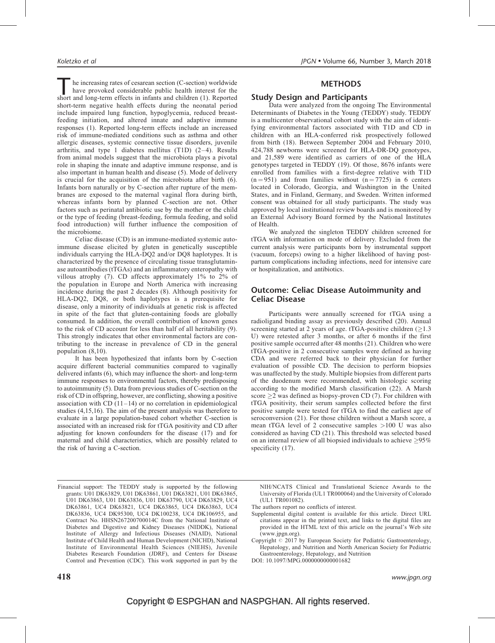The increasing rates of cesarean section (C-section) worldwide have provoked considerable public health interest for the short and long-term effects in infants and children [\(1\).](#page-7-0) Reported have provoked considerable public health interest for the short-term negative health effects during the neonatal period include impaired lung function, hypoglycemia, reduced breastfeeding initiation, and altered innate and adaptive immune responses [\(1\).](#page-7-0) Reported long-term effects include an increased risk of immune-mediated conditions such as asthma and other allergic diseases, systemic connective tissue disorders, juvenile arthritis, and type 1 diabetes mellitus  $(T1D)$   $(2-4)$ . Results from animal models suggest that the microbiota plays a pivotal role in shaping the innate and adaptive immune response, and is also important in human health and disease [\(5\).](#page-7-0) Mode of delivery is crucial for the acquisition of the microbiota after birth [\(6\)](#page-7-0). Infants born naturally or by C-section after rupture of the membranes are exposed to the maternal vaginal flora during birth, whereas infants born by planned C-section are not. Other factors such as perinatal antibiotic use by the mother or the child or the type of feeding (breast-feeding, formula feeding, and solid food introduction) will further influence the composition of the microbiome.

Celiac disease (CD) is an immune-mediated systemic autoimmune disease elicited by gluten in genetically susceptible individuals carrying the HLA-DQ2 and/or DQ8 haplotypes. It is characterized by the presence of circulating tissue transglutaminase autoantibodies (tTGAs) and an inflammatory enteropathy with villous atrophy [\(7\).](#page-7-0) CD affects approximately 1% to 2% of the population in Europe and North America with increasing incidence during the past 2 decades [\(8\)](#page-7-0). Although positivity for HLA-DQ2, DQ8, or both haplotypes is a prerequisite for disease, only a minority of individuals at genetic risk is affected in spite of the fact that gluten-containing foods are globally consumed. In addition, the overall contribution of known genes to the risk of CD account for less than half of all heritability [\(9\)](#page-7-0). This strongly indicates that other environmental factors are contributing to the increase in prevalence of CD in the general population [\(8,10\).](#page-7-0)

It has been hypothesized that infants born by C-section acquire different bacterial communities compared to vaginally delivered infants [\(6\)](#page-7-0), which may influence the short- and long-term immune responses to environmental factors, thereby predisposing to autoimmunity [\(5\)](#page-7-0). Data from previous studies of C-section on the risk of CD in offspring, however, are conflicting, showing a positive association with  $CD(11-14)$  or no correlation in epidemiological studies [\(4,15,16\).](#page-7-0) The aim of the present analysis was therefore to evaluate in a large population-based cohort whether C-section is associated with an increased risk for tTGA positivity and CD after adjusting for known confounders for the disease [\(17\)](#page-7-0) and for maternal and child characteristics, which are possibly related to the risk of having a C-section.

## **METHODS**

### Study Design and Participants

Data were analyzed from the ongoing The Environmental Determinants of Diabetes in the Young (TEDDY) study. TEDDY is a multicenter observational cohort study with the aim of identifying environmental factors associated with T1D and CD in children with an HLA-conferred risk prospectively followed from birth [\(18\)](#page-7-0). Between September 2004 and February 2010, 424,788 newborns were screened for HLA-DR-DQ genotypes, and 21,589 were identified as carriers of one of the HLA genotypes targeted in TEDDY [\(19\)](#page-7-0). Of those, 8676 infants were enrolled from families with a first-degree relative with T1D  $(n = 951)$  and from families without  $(n = 7725)$  in 6 centers located in Colorado, Georgia, and Washington in the United States, and in Finland, Germany, and Sweden. Written informed consent was obtained for all study participants. The study was approved by local institutional review boards and is monitored by an External Advisory Board formed by the National Institutes of Health.

We analyzed the singleton TEDDY children screened for tTGA with information on mode of delivery. Excluded from the current analysis were participants born by instrumental support (vacuum, forceps) owing to a higher likelihood of having postpartum complications including infections, need for intensive care or hospitalization, and antibiotics.

## Outcome: Celiac Disease Autoimmunity and Celiac Disease

Participants were annually screened for tTGA using a radioligand binding assay as previously described [\(20\)](#page-7-0). Annual screening started at 2 years of age. tTGA-positive children  $(>1.3)$ U) were retested after 3 months, or after 6 months if the first positive sample occurred after 48 months [\(21\)](#page-7-0). Children who were tTGA-positive in 2 consecutive samples were defined as having CDA and were referred back to their physician for further evaluation of possible CD. The decision to perform biopsies was unaffected by the study. Multiple biopsies from different parts of the duodenum were recommended, with histologic scoring according to the modified Marsh classification [\(22\)](#page-7-0). A Marsh score  $\geq$  was defined as biopsy-proven CD [\(7\).](#page-7-0) For children with tTGA positivity, their serum samples collected before the first positive sample were tested for tTGA to find the earliest age of seroconversion [\(21\)](#page-7-0). For those children without a Marsh score, a mean tTGA level of 2 consecutive samples >100 U was also considered as having CD [\(21\)](#page-7-0). This threshold was selected based on an internal review of all biopsied individuals to achieve  $\geq$ 95% specificity  $(17)$ .

Financial support: The TEDDY study is supported by the following grants: U01 DK63829, U01 DK63861, U01 DK63821, U01 DK63865, U01 DK63863, U01 DK63836, U01 DK63790, UC4 DK63829, UC4 DK63861, UC4 DK63821, UC4 DK63865, UC4 DK63863, UC4 DK63836, UC4 DK95300, UC4 DK100238, UC4 DK106955, and Contract No. HHSN267200700014C from the National Institute of Diabetes and Digestive and Kidney Diseases (NIDDK), National Institute of Allergy and Infectious Diseases (NIAID), National Institute of Child Health and Human Development (NICHD), National Institute of Environmental Health Sciences (NIEHS), Juvenile Diabetes Research Foundation (JDRF), and Centers for Disease Control and Prevention (CDC). This work supported in part by the

NIH/NCATS Clinical and Translational Science Awards to the University of Florida (UL1 TR000064) and the University of Colorado (UL1 TR001082).

- The authors report no conflicts of interest.
- Supplemental digital content is available for this article. Direct URL citations appear in the printed text, and links to the digital files are provided in the HTML text of this article on the journal's Web site ([www.jpgn.org\)](http://www.jpgn.org/).

Copyright  $\odot$  2017 by European Society for Pediatric Gastroenterology, Hepatology, and Nutrition and North American Society for Pediatric Gastroenterology, Hepatology, and Nutrition

DOI: 10.1097/MPG.0000000000001682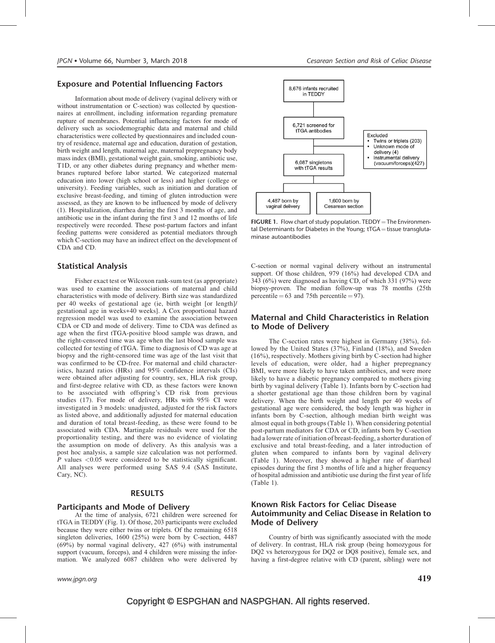### Exposure and Potential Influencing Factors

Information about mode of delivery (vaginal delivery with or without instrumentation or C-section) was collected by questionnaires at enrollment, including information regarding premature rupture of membranes. Potential influencing factors for mode of delivery such as sociodemographic data and maternal and child characteristics were collected by questionnaires and included country of residence, maternal age and education, duration of gestation, birth weight and length, maternal age, maternal prepregnancy body mass index (BMI), gestational weight gain, smoking, antibiotic use, T1D, or any other diabetes during pregnancy and whether membranes ruptured before labor started. We categorized maternal education into lower (high school or less) and higher (college or university). Feeding variables, such as initiation and duration of exclusive breast-feeding, and timing of gluten introduction were assessed, as they are known to be influenced by mode of delivery [\(1\).](#page-7-0) Hospitalization, diarrhea during the first 3 months of age, and antibiotic use in the infant during the first 3 and 12 months of life respectively were recorded. These post-partum factors and infant feeding patterns were considered as potential mediators through which C-section may have an indirect effect on the development of CDA and CD.

## Statistical Analysis

Fisher exact test or Wilcoxon rank-sum test (as appropriate) was used to examine the associations of maternal and child characteristics with mode of delivery. Birth size was standardized per 40 weeks of gestational age (ie, birth weight [or length]/ gestational age in weeks-40 weeks]. A Cox proportional hazard regression model was used to examine the association between CDA or CD and mode of delivery. Time to CDA was defined as age when the first tTGA-positive blood sample was drawn, and the right-censored time was age when the last blood sample was collected for testing of tTGA. Time to diagnosis of CD was age at biopsy and the right-censored time was age of the last visit that was confirmed to be CD-free. For maternal and child characteristics, hazard ratios (HRs) and 95% confidence intervals (CIs) were obtained after adjusting for country, sex, HLA risk group, and first-degree relative with CD, as these factors were known to be associated with offspring's CD risk from previous studies [\(17\)](#page-7-0). For mode of delivery, HRs with 95% CI were investigated in 3 models: unadjusted, adjusted for the risk factors as listed above, and additionally adjusted for maternal education and duration of total breast-feeding, as these were found to be associated with CDA. Martingale residuals were used for the proportionality testing, and there was no evidence of violating the assumption on mode of delivery. As this analysis was a post hoc analysis, a sample size calculation was not performed. P values <0.05 were considered to be statistically significant. All analyses were performed using SAS 9.4 (SAS Institute, Cary, NC).

#### RESULTS

#### Participants and Mode of Delivery

At the time of analysis, 6721 children were screened for tTGA in TEDDY (Fig. 1). Of those, 203 participants were excluded because they were either twins or triplets. Of the remaining 6518 singleton deliveries, 1600 (25%) were born by C-section, 4487 (69%) by normal vaginal delivery, 427 (6%) with instrumental support (vacuum, forceps), and 4 children were missing the information. We analyzed 6087 children who were delivered by

www.jpgn.org  $\hspace{1.6cm}419$ 



**FIGURE 1.** Flow chart of study population.  $\text{TEDDY} = \text{The Environment}$ tal Determinants for Diabetes in the Young;  $tTGA = t$ issue transglutaminase autoantibodies

C-section or normal vaginal delivery without an instrumental support. Of those children, 979 (16%) had developed CDA and 343 (6%) were diagnosed as having CD, of which 331 (97%) were biopsy-proven. The median follow-up was 78 months (25th percentile  $= 63$  and 75th percentile  $= 97$ ).

#### Maternal and Child Characteristics in Relation to Mode of Delivery

The C-section rates were highest in Germany (38%), followed by the United States (37%), Finland (18%), and Sweden (16%), respectively. Mothers giving birth by C-section had higher levels of education, were older, had a higher prepregnancy BMI, were more likely to have taken antibiotics, and were more likely to have a diabetic pregnancy compared to mothers giving birth by vaginal delivery ([Table 1\)](#page-3-0). Infants born by C-section had a shorter gestational age than those children born by vaginal delivery. When the birth weight and length per 40 weeks of gestational age were considered, the body length was higher in infants born by C-section, although median birth weight was almost equal in both groups [\(Table 1\)](#page-3-0). When considering potential post-partum mediators for CDA or CD, infants born by C-section had a lower rate of initiation of breast-feeding, a shorter duration of exclusive and total breast-feeding, and a later introduction of gluten when compared to infants born by vaginal delivery ([Table 1](#page-3-0)). Moreover, they showed a higher rate of diarrheal episodes during the first 3 months of life and a higher frequency of hospital admission and antibiotic use during the first year of life ([Table 1](#page-3-0)).

### Known Risk Factors for Celiac Disease Autoimmunity and Celiac Disease in Relation to Mode of Delivery

Country of birth was significantly associated with the mode of delivery. In contrast, HLA risk group (being homozygous for DQ2 vs heterozygous for DQ2 or DQ8 positive), female sex, and having a first-degree relative with CD (parent, sibling) were not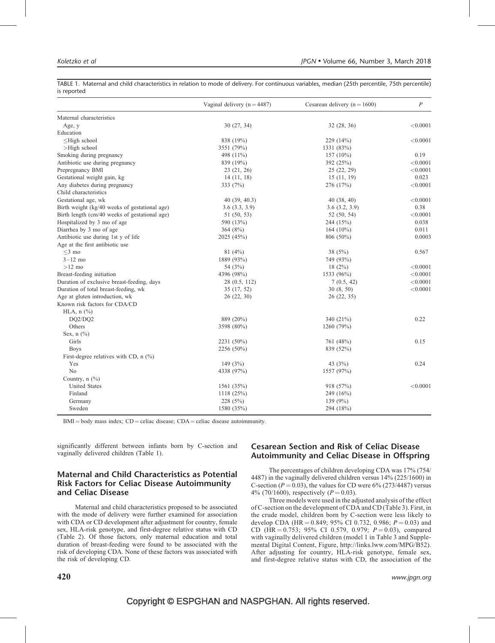|                                               | Vaginal delivery $(n = 4487)$ | Cesarean delivery $(n = 1600)$ | $\boldsymbol{P}$ |
|-----------------------------------------------|-------------------------------|--------------------------------|------------------|
| Maternal characteristics                      |                               |                                |                  |
| Age, y                                        | 30(27, 34)                    | 32(28, 36)                     | < 0.0001         |
| Education                                     |                               |                                |                  |
| $\leq$ High school                            | 838 (19%)                     | 229 (14%)                      | < 0.0001         |
| $>$ High school                               | 3551 (79%)                    | 1331 (83%)                     |                  |
| Smoking during pregnancy                      | 498 (11%)                     | $157(10\%)$                    | 0.19             |
| Antibiotic use during pregnancy               | 839 (19%)                     | 392 (25%)                      | < 0.0001         |
| Prepregnancy BMI                              | 23(21, 26)                    | 25(22, 29)                     | < 0.0001         |
| Gestational weight gain, kg                   | 14(11, 18)                    | 15(11, 19)                     | 0.023            |
| Any diabetes during pregnancy                 | 333 (7%)                      | 276 (17%)                      | < 0.0001         |
| Child characteristics                         |                               |                                |                  |
| Gestational age, wk                           | 40(39, 40.3)                  | 40(38, 40)                     | < 0.0001         |
| Birth weight (kg/40 weeks of gestational age) | 3.6(3.3, 3.9)                 | 3.6(3.2, 3.9)                  | 0.38             |
| Birth length (cm/40 weeks of gestational age) | 51 (50, 53)                   | 52(50, 54)                     | < 0.0001         |
| Hospitalized by 3 mo of age                   | 590 (13%)                     | 244 (15%)                      | 0.038            |
| Diarrhea by 3 mo of age                       | 364 $(8%)$                    | 164 $(10\%)$                   | 0.011            |
| Antibiotic use during 1st y of life           | 2025 (45%)                    | 806 (50%)                      | 0.0003           |
| Age at the first antibiotic use               |                               |                                |                  |
| $<$ 3 mo                                      | 81(4%)                        | 38 $(5%)$                      | 0.567            |
| $3 - 12$ mo                                   | 1889 (93%)                    | 749 (93%)                      |                  |
| $>12$ mo                                      | 54 (3%)                       | 18(2%)                         | < 0.0001         |
| Breast-feeding initiation                     | 4396 (98%)                    | 1533 (96%)                     | < 0.0001         |
| Duration of exclusive breast-feeding, days    | 28 (0.5, 112)                 | 7(0.5, 42)                     | < 0.0001         |
| Duration of total breast-feeding, wk          | 35(17, 52)                    | 30(8, 50)                      | < 0.0001         |
| Age at gluten introduction, wk                | 26(22, 30)                    | 26(22, 35)                     |                  |
| Known risk factors for CDA/CD                 |                               |                                |                  |
| HLA, $n$ $(\%)$                               |                               |                                |                  |
| DQ2/DQ2                                       | 889 (20%)                     | 340 (21%)                      | 0.22             |
| Others                                        | 3598 (80%)                    | 1260 (79%)                     |                  |
| Sex, $n$ $(\%)$                               |                               |                                |                  |
| Girls                                         | 2231 (50%)                    | 761 (48%)                      | 0.15             |
| <b>Boys</b>                                   | 2256 (50%)                    | 839 (52%)                      |                  |
| First-degree relatives with CD, $n$ (%)       |                               |                                |                  |
| Yes                                           | 149 $(3%)$                    | 43 $(3%)$                      | 0.24             |
| N <sub>o</sub>                                | 4338 (97%)                    | 1557 (97%)                     |                  |
| Country, $n$ $(\frac{9}{6})$                  |                               |                                |                  |
| <b>United States</b>                          | 1561 (35%)                    | 918 (57%)                      | < 0.0001         |
| Finland                                       | 1118(25%)                     | 249 (16%)                      |                  |
| Germany                                       | 228(5%)                       | 139 $(9%)$                     |                  |
| Sweden                                        | 1580 (35%)                    | 294 (18%)                      |                  |

<span id="page-3-0"></span>TABLE 1. Maternal and child characteristics in relation to mode of delivery. For continuous variables, median (25th percentile, 75th percentile) is reported

 $BMI = body$  mass index;  $CD =$  celiac disease;  $CDA =$  celiac disease autoimmunity.

significantly different between infants born by C-section and vaginally delivered children (Table 1).

## Maternal and Child Characteristics as Potential Risk Factors for Celiac Disease Autoimmunity and Celiac Disease

Maternal and child characteristics proposed to be associated with the mode of delivery were further examined for association with CDA or CD development after adjustment for country, female sex, HLA-risk genotype, and first-degree relative status with CD ([Table 2](#page-4-0)). Of those factors, only maternal education and total duration of breast-feeding were found to be associated with the risk of developing CDA. None of these factors was associated with the risk of developing CD.

## Cesarean Section and Risk of Celiac Disease Autoimmunity and Celiac Disease in Offspring

The percentages of children developing CDA was 17% (754/ 4487) in the vaginally delivered children versus 14% (225/1600) in C-section ( $P = 0.03$ ), the values for CD were 6% (273/4487) versus 4% (70/1600), respectively ( $P = 0.03$ ).

Three models were used in the adjusted analysis of the effect of C-section on the development of CDA and CD [\(Table 3](#page-4-0)). First, in the crude model, children born by C-section were less likely to develop CDA (HR = 0.849; 95% CI 0.732, 0.986;  $P = 0.03$ ) and CD (HR = 0.753; 95% CI 0.579, 0.979;  $P = 0.03$ ), compared with vaginally delivered children (model 1 in [Table 3](#page-4-0) and Supplemental Digital Content, Figure, [http://links.lww.com/MPG/B52\)](http://links.lww.com/MPG/B52). After adjusting for country, HLA-risk genotype, female sex, and first-degree relative status with CD, the association of the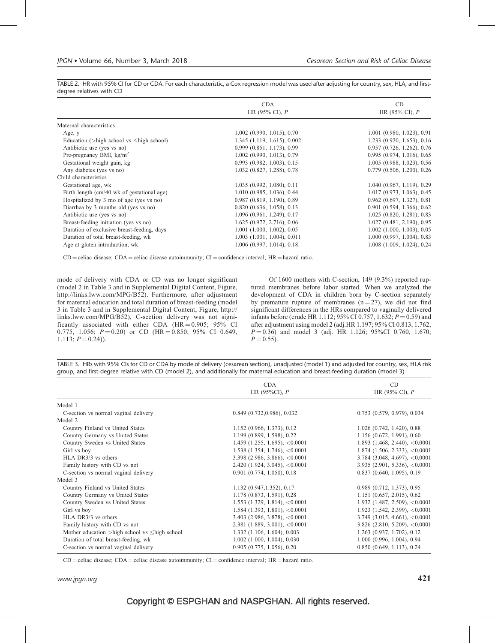<span id="page-4-0"></span>TABLE 2. HR with 95% CI for CD or CDA. For each characteristic, a Cox regression model was used after adjusting for country, sex, HLA, and firstdegree relatives with CD

|                                                    | <b>CDA</b>                        | CD                                |
|----------------------------------------------------|-----------------------------------|-----------------------------------|
|                                                    | HR $(95\% \text{ CI})$ , P        | HR $(95\% \text{ CI})$ , P        |
| Maternal characteristics                           |                                   |                                   |
| Age, y                                             | $1.002$ (0.990, 1.015), 0.70      | $1.001$ (0.980, 1.023), 0.91      |
| Education ( $>$ high school vs $\leq$ high school) | 1.345(1.119, 1.615), 0.002        | $1.233$ $(0.920, 1.653), 0.16$    |
| Antibiotic use (yes vs no)                         | 0.999(0.851, 1.173), 0.99         | $0.957$ $(0.726, 1.262)$ , $0.76$ |
| Pre-pregnancy BMI, $\text{kg/m}^2$                 | $1.002$ (0.990, 1.013), 0.79      | 0.995(0.974, 1.016), 0.65         |
| Gestational weight gain, kg                        | $0.993$ $(0.982, 1.003)$ , $0.15$ | $1.005$ (0.988, 1.023), 0.56      |
| Any diabetes (yes vs no)                           | 1.032 (0.827, 1.288), 0.78        | $0.779$ $(0.506, 1.200)$ , $0.26$ |
| Child characteristics                              |                                   |                                   |
| Gestational age, wk                                | 1.035(0.992, 1.080), 0.11         | 1.040(0.967, 1.119), 0.29         |
| Birth length (cm/40 wk of gestational age)         | 1.010 (0.985, 1.036), 0.44        | 1.017(0.973, 1.063), 0.45         |
| Hospitalized by 3 mo of age (yes vs no)            | 0.987(0.819, 1.190), 0.89         | $0.962$ $(0.697, 1.327)$ , $0.81$ |
| Diarrhea by 3 months old (yes vs no)               | 0.820(0.636, 1.058), 0.13         | $0.901$ $(0.594, 1.366)$ , $0.62$ |
| Antibiotic use (yes vs no)                         | 1.096(0.961, 1.249), 0.17         | 1.025(0.820, 1.281), 0.83         |
| Breast-feeding initiation (yes vs no)              | 1.625(0.972, 2.716), 0.06         | 1.027 (0.481, 2.190), 0.95        |
| Duration of exclusive breast-feeding, days         | $1.001$ $(1.000, 1.002), 0.05$    | $1.002$ (1.000, 1.003), 0.05      |
| Duration of total breast-feeding, wk               | $1.003$ $(1.001, 1.004)$ , 0.011  | 1.000(0.997, 1.004), 0.83         |
| Age at gluten introduction, wk                     | 1.006(0.997, 1.014), 0.18         | 1.008 (1.009, 1.024), 0.24        |

 $CD =$  celiac disease; CDA = celiac disease autoimmunity; CI = confidence interval; HR = hazard ratio.

mode of delivery with CDA or CD was no longer significant (model 2 in Table 3 and in Supplemental Digital Content, Figure, [http://links.lww.com/MPG/B52\)](http://links.lww.com/MPG/B52). Furthermore, after adjustment for maternal education and total duration of breast-feeding (model 3 in Table 3 and in Supplemental Digital Content, Figure, [http://](http://links.lww.com/MPG/B52) [links.lww.com/MPG/B52\)](http://links.lww.com/MPG/B52), C-section delivery was not significantly associated with either CDA  $(HR = 0.905; 95\%$  CI 0.775, 1.056;  $P = 0.20$ ) or CD (HR = 0.850; 95% CI 0.649, 1.113;  $P = 0.24$ ).

Of 1600 mothers with C-section, 149 (9.3%) reported ruptured membranes before labor started. When we analyzed the development of CDA in children born by C-section separately by premature rupture of membranes  $(n = 27)$ , we did not find significant differences in the HRs compared to vaginally delivered infants before (crude HR 1.112; 95% CI 0.757, 1.632;  $P = 0.59$ ) and after adjustment using model 2 (adj.HR 1.197; 95% CI 0.813, 1.762;  $P = 0.36$ ) and model 3 (adj. HR 1.126; 95%CI 0.760, 1.670;  $P = 0.55$ ).

TABLE 3. HRs with 95% CIs for CD or CDA by mode of delivery (cesarean section), unadjusted (model 1) and adjusted for country, sex, HLA risk group, and first-degree relative with CD (model 2), and additionally for maternal education and breast-feeding duration (model 3)

|                                                     | <b>CDA</b><br>HR $(95\%CI)$ , P       | CD<br>HR (95% CI), $P$                |
|-----------------------------------------------------|---------------------------------------|---------------------------------------|
|                                                     |                                       |                                       |
| Model 1                                             |                                       |                                       |
| C-section vs normal vaginal delivery                | 0.849(0.732, 0.986), 0.032            | $0.753$ $(0.579, 0.979)$ , $0.034$    |
| Model 2                                             |                                       |                                       |
| Country Finland vs United States                    | 1.152(0.966, 1.373), 0.12             | $1.026$ $(0.742, 1.420)$ , $0.88$     |
| Country Germany vs United States                    | 1.199 (0.899, 1.598), 0.22            | $1.156$ (0.672, 1.991), 0.60          |
| Country Sweden vs United States                     | $1.459$ (1.255, 1.695), <0.0001       | 1.893 $(1.468, 2.440), < 0.0001$      |
| Girl vs boy                                         | $1.538$ $(1.354, 1.746)$ , $< 0.0001$ | $1.874$ (1.506, 2.333), <0.0001       |
| HLA DR3/3 vs others                                 | $3.398$ (2.986, 3.866), <0.0001       | $3.784$ (3.048, 4.697), <0.0001       |
| Family history with CD vs not                       | $2.420$ (1.924, 3.045), <0.0001       | $3.935$ (2.901, 5.336), <0.0001       |
| C-section vs normal vaginal delivery                | $0.901$ $(0.774, 1.050)$ , $0.18$     | 0.837(0.640, 1.095), 0.19             |
| Model 3                                             |                                       |                                       |
| Country Finland vs United States                    | 1.132 (0.947, 1.352), 0.17            | 0.989(0.712, 1.373), 0.95             |
| Country Germany vs United States                    | 1.178 (0.873, 1.591), 0.28            | $1.151$ (0.657, 2.015), 0.62          |
| Country Sweden vs United States                     | 1.553 (1.329, 1.814), $< 0.0001$      | $1.932$ (1.487, 2.509), <0.0001       |
| Girl vs boy                                         | $1.584$ (1.393, 1.801), <0.0001       | $1.923$ $(1.542, 2.399), < 0.0001$    |
| HLA DR3/3 vs others                                 | $3.403$ (2.986, 3.878), <0.0001       | $3.749$ $(3.015, 4.661)$ , $< 0.0001$ |
| Family history with CD vs not                       | $2.381$ (1.889, 3.001), <0.0001       | $3.826$ (2.810, 5.209), <0.0001       |
| Mother education >high school vs $\leq$ high school | $1.332$ (1.106, 1.604), 0.003         | $1.263$ $(0.937, 1.702)$ , $0.12$     |
| Duration of total breast-feeding, wk                | $1.002$ (1.000, 1.004), 0.030         | $1.000$ (0.996, 1.004), 0.94          |
| C-section vs normal vaginal delivery                | 0.905(0.775, 1.056), 0.20             | 0.850(0.649, 1.113), 0.24             |

 $CD =$  celiac disease; CDA = celiac disease autoimmunity; CI = confidence interval; HR = hazard ratio.

www.jpgn.org  $421$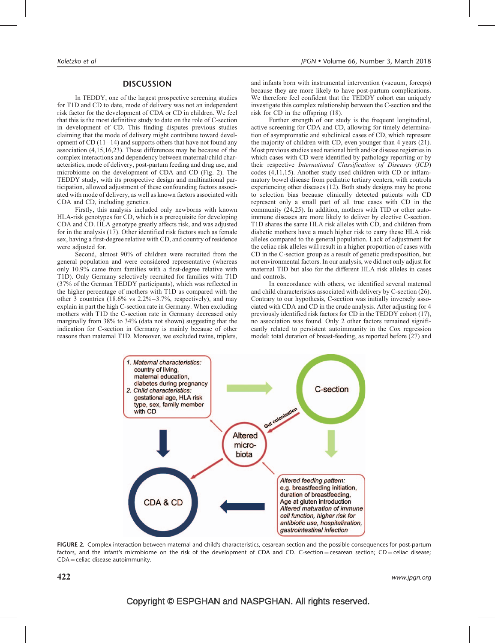#### **DISCUSSION**

In TEDDY, one of the largest prospective screening studies for T1D and CD to date, mode of delivery was not an independent risk factor for the development of CDA or CD in children. We feel that this is the most definitive study to date on the role of C-section in development of CD. This finding disputes previous studies claiming that the mode of delivery might contribute toward development of  $CD(11–14)$  and supports others that have not found any association [\(4,15,16,23\)](#page-7-0). These differences may be because of the complex interactions and dependency between maternal/child characteristics, mode of delivery, post-partum feeding and drug use, and microbiome on the development of CDA and CD (Fig. 2). The TEDDY study, with its prospective design and multinational participation, allowed adjustment of these confounding factors associated with mode of delivery, as well as known factors associated with CDA and CD, including genetics.

Firstly, this analysis included only newborns with known HLA-risk genotypes for CD, which is a prerequisite for developing CDA and CD. HLA genotype greatly affects risk, and was adjusted for in the analysis [\(17\).](#page-7-0) Other identified risk factors such as female sex, having a first-degree relative with CD, and country of residence were adjusted for.

Second, almost 90% of children were recruited from the general population and were considered representative (whereas only 10.9% came from families with a first-degree relative with T1D). Only Germany selectively recruited for families with T1D (37% of the German TEDDY participants), which was reflected in the higher percentage of mothers with T1D as compared with the other 3 countries (18.6% vs 2.2%–3.7%, respectively), and may explain in part the high C-section rate in Germany. When excluding mothers with T1D the C-section rate in Germany decreased only marginally from 38% to 34% (data not shown) suggesting that the indication for C-section in Germany is mainly because of other reasons than maternal T1D. Moreover, we excluded twins, triplets, and infants born with instrumental intervention (vacuum, forceps) because they are more likely to have post-partum complications. We therefore feel confident that the TEDDY cohort can uniquely investigate this complex relationship between the C-section and the risk for CD in the offspring [\(18\).](#page-7-0)

Further strength of our study is the frequent longitudinal, active screening for CDA and CD, allowing for timely determination of asymptomatic and subclinical cases of CD, which represent the majority of children with CD, even younger than 4 years [\(21\).](#page-7-0) Most previous studies used national birth and/or disease registries in which cases with CD were identified by pathology reporting or by their respective International Classification of Diseases (ICD) codes [\(4,11,15\)](#page-7-0). Another study used children with CD or inflammatory bowel disease from pediatric tertiary centers, with controls experiencing other diseases [\(12\)](#page-7-0). Both study designs may be prone to selection bias because clinically detected patients with CD represent only a small part of all true cases with CD in the community [\(24,25\)](#page-7-0). In addition, mothers with TID or other autoimmune diseases are more likely to deliver by elective C-section. T1D shares the same HLA risk alleles with CD, and children from diabetic mothers have a much higher risk to carry these HLA risk alleles compared to the general population. Lack of adjustment for the celiac risk alleles will result in a higher proportion of cases with CD in the C-section group as a result of genetic predisposition, but not environmental factors. In our analysis, we did not only adjust for maternal TID but also for the different HLA risk alleles in cases and controls.

In concordance with others, we identified several maternal and child characteristics associated with delivery by C-section [\(26\).](#page-7-0) Contrary to our hypothesis, C-section was initially inversely associated with CDA and CD in the crude analysis. After adjusting for 4 previously identified risk factors for CD in the TEDDY cohort [\(17\),](#page-7-0) no association was found. Only 2 other factors remained significantly related to persistent autoimmunity in the Cox regression model: total duration of breast-feeding, as reported before [\(27\)](#page-7-0) and



FIGURE 2. Complex interaction between maternal and child's characteristics, cesarean section and the possible consequences for post-partum factors, and the infant's microbiome on the risk of the development of CDA and CD. C-section=cesarean section;  $CD =$ celiac disease;  $CDA =$  celiac disease autoimmunity.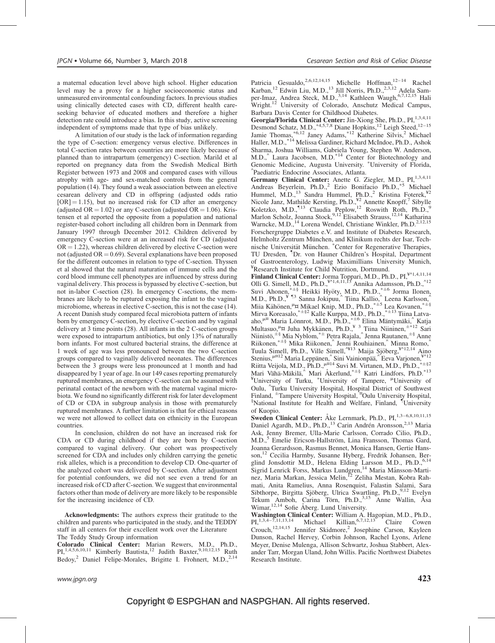a maternal education level above high school. Higher education level may be a proxy for a higher socioeconomic status and unmeasured environmental confounding factors. In previous studies using clinically detected cases with CD, different health careseeking behavior of educated mothers and therefore a higher detection rate could introduce a bias. In this study, active screening independent of symptoms made that type of bias unlikely.

A limitation of our study is the lack of information regarding the type of C-section: emergency versus elective. Differences in total C-section rates between countries are more likely because of planned than to intrapartum (emergency) C-section. Marild et al reported on pregnancy data from the Swedish Medical Birth Register between 1973 and 2008 and compared cases with villous atrophy with age- and sex-matched controls from the general population [\(14\).](#page-7-0) They found a weak association between an elective cesarean delivery and CD in offspring (adjusted odds ratio  $[OR] = 1.15$ , but no increased risk for CD after an emergency (adjusted OR  $= 1.02$ ) or any C-section (adjusted OR  $= 1.06$ ). Kristensen et al reported the opposite from a population and national register-based cohort including all children born in Denmark from January 1997 through December 2012. Children delivered by emergency C-section were at an increased risk for CD (adjusted  $OR = 1.22$ ), whereas children delivered by elective C-section were not (adjusted  $OR = 0.69$ ). Several explanations have been proposed for the different outcomes in relation to type of C-section. Thyssen et al showed that the natural maturation of immune cells and the cord blood immune cell phenotypes are influenced by stress during vaginal delivery. This process is bypassed by elective C-section, but not in-labor C-section [\(28\)](#page-7-0). In emergency C-sections, the membranes are likely to be ruptured exposing the infant to the vaginal microbiome, whereas in elective C-section, this is not the case [\(14\)](#page-7-0). A recent Danish study compared fecal microbiota pattern of infants born by emergency C-section, by elective C-section and by vaginal delivery at 3 time points [\(28\).](#page-7-0) All infants in the 2 C-section groups were exposed to intrapartum antibiotics, but only 13% of naturally born infants. For most cultured bacterial strains, the difference at 1 week of age was less pronounced between the two C-section groups compared to vaginally delivered neonates. The differences between the 3 groups were less pronounced at 1 month and had disappeared by 1 year of age. In our 149 cases reporting prematurely ruptured membranes, an emergency C-section can be assumed with perinatal contact of the newborn with the maternal vaginal microbiota. We found no significantly different risk for later development of CD or CDA in subgroup analysis in those with prematurely ruptured membranes. A further limitation is that for ethical reasons we were not allowed to collect data on ethnicity in the European countries.

In conclusion, children do not have an increased risk for CDA or CD during childhood if they are born by C-section compared to vaginal delivery. Our cohort was prospectively screened for CDA and includes only children carrying the genetic risk alleles, which is a precondition to develop CD. One-quarter of the analyzed cohort was delivered by C-section. After adjustment for potential confounders, we did not see even a trend for an increased risk of CD after C-section. We suggest that environmental factors other than mode of delivery are more likely to be responsible for the increasing incidence of CD.

Acknowledgments: The authors express their gratitude to the children and parents who participated in the study, and the TEDDY staff in all centers for their excellent work over the Literature The Teddy Study Group information

**Colorado Clinical Center:** Marian Rewers, M.D., Ph.D.,  $PI$ ,  $1.4.5.6, 10.11$  Kimberly Bautista,  $12$  Judith Baxter,  $9.10, 12.15$  Ruth Bedoy,<sup>2</sup> Daniel Felipe-Morales, Brigitte I. Frohnert, M.D.,<sup>2,14</sup>

Patricia Gesualdo,<sup>2,6,12,14,15</sup> Michelle Hoffman,<sup>12–14</sup> Rachel Karban,<sup>12</sup> Edwin Liu, M.D.,<sup>13</sup> Jill Norris, Ph.D.,<sup>2,3,12</sup> Adela Samper-Imaz, Andrea Steck, M.D.,<sup>3,14</sup> Kathleen Waugh,<sup>6,7,12,15</sup> Hali Wright.<sup>12</sup> University of Colorado, Anschutz Medical Campus, Barbara Davis Center for Childhood Diabetes.

Georgia/Florida Clinical Center: Jin-Xiong She, Ph.D., PI,<sup>1,3,4,11</sup> Desmond Schatz, M.D., \*4,5,7,8 Diane Hopkins,<sup>12</sup> Leigh Steed,<sup>12-15</sup> Jamie Thomas,<sup>\*6,12</sup> Janey Adams,<sup>\*12</sup> Katherine Silvis,<sup>2</sup> Michael Haller, M.D.,<sup>\*14</sup> Melissa Gardiner, Richard McIndoe, Ph.D., Ashok Sharma, Joshua Williams, Gabriela Young, Stephen W. Anderson, M.D., Laura Jacobsen, M.D.<sup>\*14</sup> Center for Biotechnology and Genomic Medicine, Augusta University. <sup>\*</sup>University of Florida, Paediatric Endocrine Associates, Atlanta.

Germany Clinical Center: Anette G. Ziegler, M.D., PI,<sup>1,3,4,11</sup> Andreas Beyerlein, Ph.D.,<sup>2</sup> Ezio Bonifacio Ph.D.,<sup>\*5</sup> Michael Hummel, M.D.,<sup>13</sup> Sandra Hummel, Ph.D.,<sup>2</sup> Kristina Foterek,<sup>\\*2</sup> Nicole Janz, Mathilde Kersting, Ph.D.,<sup>¥2</sup> Annette Knopff,<sup>7</sup> Sibylle Koletzko, M.D.,<sup>¶13</sup> Claudia Peplow,<sup>12</sup> Roswith Roth, Ph.D.,<sup>9</sup> Marlon Scholz, Joanna Stock,<sup>9,12</sup> Elisabeth Strauss,<sup>12,14</sup> Katharina Warncke, M.D.,<sup>14</sup> Lorena Wendel, Christiane Winkler, Ph.D.<sup>2,12,15</sup> Forschergruppe Diabetes e.V. and Institute of Diabetes Research, Helmholtz Zentrum München, and Klinikum rechts der Isar, Technische Universität München. \*Center for Regenerative Therapies, TU Dresden, <sup>¶</sup>Dr. von Hauner Children's Hospital, Department of Gastroenterology, Ludwig Maximillians University Munich, ¥ Research Institute for Child Nutrition, Dortmund.

Finland Clinical Center: Jorma Toppari, M.D., Ph.D., PI,¥^1,4,11,14 Olli G. Simell, M.D., Ph.D., $^{4^{k}1,4,11,15}$  Annika Adamsson, Ph.D., $^{4^{k}2}$ Suvi Ahonen,<sup>\*±§</sup> Heikki Hyöty, M.D., Ph.D.,<sup>\*±6</sup> Jorma Ilonen, M.D., Ph.D.,<sup>¥ ¶3</sup> Sanna Jokipuu,^ Tiina Kallio,^ Leena Karlsson,^ Miia Kähönen, <sup>µ</sup>¤ Mikael Knip, M.D., Ph.D.,<sup>\*±5</sup> Lea Kovanen,<sup>\*±§</sup> Mirva Koreasalo,<sup>\*±§2</sup> Kalle Kurppa, M.D., Ph.D.,<sup>\*±13</sup> Tiina Latvaaho,<sup>µ¤</sup> Maria Lönnrot, M.D., Ph.D.,<sup>\*±6</sup> Elina Mäntymäki,<sup>^</sup> Katja Multasuo,  $\mu$ x Juha Mykkänen, Ph.D.,  $\mu$ <sup>3</sup> Tiina Niininen,  $\pm$ \*12 Sari Niinistö,  $\pm \text{\^{8}}$  Mia Nyblom,  $\text{\tt\^{#}+}$  Petra Rajala, $\text{\^}{\prime}$  Jenna Rautanen,  $\pm \text{\^{8}}$  Anne Riikonen,<sup>\*±§</sup> Mika Riikonen,^ Jenni Rouhiainen,^ Minna Romo,^ Tuula Simell, Ph.D., Ville Simell,<sup>^¥13</sup> Maija Sjöberg,<sup>¥^12,14</sup> Aino Stenius,<sup>µ¤12</sup> Maria Leppänen, Sini Vainionpää, Eeva Varjonen,¥^12 Riitta Veijola, M.D., Ph.D.,<sup> $\mu$ x14</sup> Suvi M. Virtanen, M.D., Ph.D.,<sup>\*+§2</sup> Mari Vähä-Mäkilä, Mari Åkerlund, \*<sup>±§</sup> Katri Lindfors, Ph.D. \*<sup>13</sup> Function Community Countries and Community of Tampere, "University of Tampere", "University of Oulu, <sup>^</sup>Turku University Hospital, Hospital District of Southwest<br>Finland, <sup>±</sup>Tampere University Hospital, <sup>¤</sup>Oulu University Hospital, <sup>§</sup>National Institute for Health and Welfare, Finland, <sup>¶</sup>University of Kuopio.

Sweden Clinical Center: Åke Lernmark, Ph.D., PI,<sup>1,3-6,8,10,11,15</sup> Daniel Agardh, M.D., Ph.D.,<sup>13</sup> Carin Andrén Aronsson,<sup>2,13</sup> Maria Ask, Jenny Bremer, Ulla-Marie Carlsson, Corrado Cilio, Ph.D., M.D.,<sup>5</sup> Emelie Ericson-Hallström, Lina Fransson, Thomas Gard, Joanna Gerardsson, Rasmus Bennet, Monica Hansen, Gertie Hansson,<sup>12</sup> Cecilia Harmby, Susanne Hyberg, Fredrik Johansen, Berglind Jonsdottir M.D., Helena Elding Larsson M.D., Ph.D., 6,14 Sigrid Lenrick Forss, Markus Lundgren,<sup>14</sup> Maria Månsson-Martinez, Maria Markan, Jessica Melin, <sup>12</sup> Zeliha Mestan, Kobra Rahmati, Anita Ramelius, Anna Rosenquist, Falastin Salami, Sara Sibthorpe, Birgitta Sjöberg, Ulrica Swartling, Ph.D., $9,12$  Evelyn Tekum Amboh, Carina Törn, Ph.D.,<sup>3,15</sup> Anne Wallin, Åsa Wimar,<sup>12,14</sup> Sofie Åberg. Lund University.

Washington Clinical Center: William A. Hagopian, M.D., Ph.D., Pl.D., Pl.D., Ph.D., Pl.D., Claire Cowen Crouch,<sup>12,14,15</sup> Jennifer Skidmore,<sup>2</sup> Josephine Carson, Kayleen Dunson, Rachel Hervey, Corbin Johnson, Rachel Lyons, Arlene Meyer, Denise Mulenga, Allison Schwartz, Joshua Stabbert, Alexander Tarr, Morgan Uland, John Willis. Pacific Northwest Diabetes Research Institute.